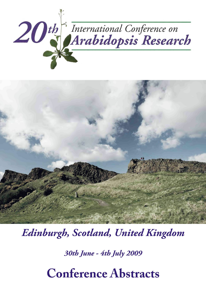



*Edinburgh, Scotland, United Kingdom* 

*30th June - 4th July 2009* 

**Conference Abstracts**